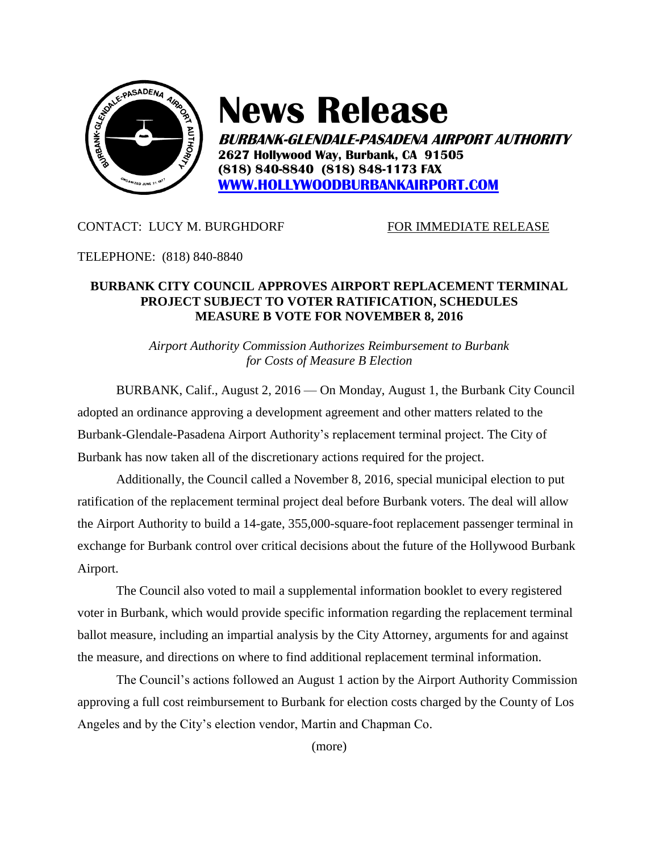

# **News Release**

**BURBANK-GLENDALE-PASADENA AIRPORT AUTHORITY 2627 Hollywood Way, Burbank, CA 91505 (818) 840-8840 (818) 848-1173 FAX [WWW.HOLLYWOODBURBANKAIRPORT.COM](http://www.hollywoodburbankairport.com/)**

## CONTACT: LUCY M. BURGHDORF FOR IMMEDIATE RELEASE

### TELEPHONE: (818) 840-8840

## **BURBANK CITY COUNCIL APPROVES AIRPORT REPLACEMENT TERMINAL PROJECT SUBJECT TO VOTER RATIFICATION, SCHEDULES MEASURE B VOTE FOR NOVEMBER 8, 2016**

*Airport Authority Commission Authorizes Reimbursement to Burbank for Costs of Measure B Election*

BURBANK, Calif., August 2, 2016 — On Monday, August 1, the Burbank City Council adopted an ordinance approving a development agreement and other matters related to the Burbank-Glendale-Pasadena Airport Authority's replacement terminal project. The City of Burbank has now taken all of the discretionary actions required for the project.

Additionally, the Council called a November 8, 2016, special municipal election to put ratification of the replacement terminal project deal before Burbank voters. The deal will allow the Airport Authority to build a 14-gate, 355,000-square-foot replacement passenger terminal in exchange for Burbank control over critical decisions about the future of the Hollywood Burbank Airport.

The Council also voted to mail a supplemental information booklet to every registered voter in Burbank, which would provide specific information regarding the replacement terminal ballot measure, including an impartial analysis by the City Attorney, arguments for and against the measure, and directions on where to find additional replacement terminal information.

The Council's actions followed an August 1 action by the Airport Authority Commission approving a full cost reimbursement to Burbank for election costs charged by the County of Los Angeles and by the City's election vendor, Martin and Chapman Co.

(more)